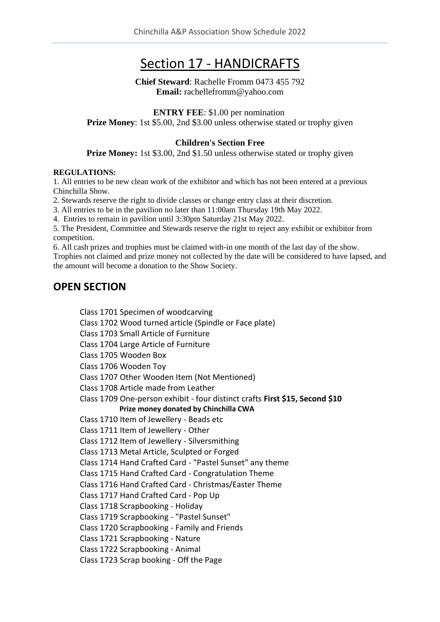# Section 17 - HANDICRAFTS

#### **Chief Steward**: Rachelle Fromm 0473 455 792 **Email:** rachellefromm@yahoo.com

**ENTRY FEE**: \$1.00 per nomination **Prize Money**: 1st \$5.00, 2nd \$3.00 unless otherwise stated or trophy given

#### **Children's Section Free**

**Prize Money:** 1st \$3.00, 2nd \$1.50 unless otherwise stated or trophy given

#### **REGULATIONS:**

1. All entries to be new clean work of the exhibitor and which has not been entered at a previous Chinchilla Show.

2. Stewards reserve the right to divide classes or change entry class at their discretion.

3. All entries to be in the pavilion no later than 11:00am Thursday 19th May 2022.

4. Entries to remain in pavilion until 3:30pm Saturday 21st May 2022.

5. The President, Committee and Stewards reserve the right to reject any exhibit or exhibitor from competition.

6. All cash prizes and trophies must be claimed with-in one month of the last day of the show.

Trophies not claimed and prize money not collected by the date will be considered to have lapsed, and the amount will become a donation to the Show Society.

### **OPEN SECTION**

Class 1701 Specimen of woodcarving Class 1702 Wood turned article (Spindle or Face plate) Class 1703 Small Article of Furniture Class 1704 Large Article of Furniture Class 1705 Wooden Box Class 1706 Wooden Toy Class 1707 Other Wooden Item (Not Mentioned) Class 1708 Article made from Leather Class 1709 One-person exhibit - four distinct crafts **First \$15, Second \$10 Prize money donated by Chinchilla CWA**  Class 1710 Item of Jewellery - Beads etc Class 1711 Item of Jewellery - Other Class 1712 Item of Jewellery - Silversmithing Class 1713 Metal Article, Sculpted or Forged Class 1714 Hand Crafted Card - "Pastel Sunset" any theme Class 1715 Hand Crafted Card - Congratulation Theme Class 1716 Hand Crafted Card - Christmas/Easter Theme Class 1717 Hand Crafted Card - Pop Up Class 1718 Scrapbooking - Holiday Class 1719 Scrapbooking - "Pastel Sunset" Class 1720 Scrapbooking - Family and Friends Class 1721 Scrapbooking - Nature Class 1722 Scrapbooking - Animal Class 1723 Scrap booking - Off the Page